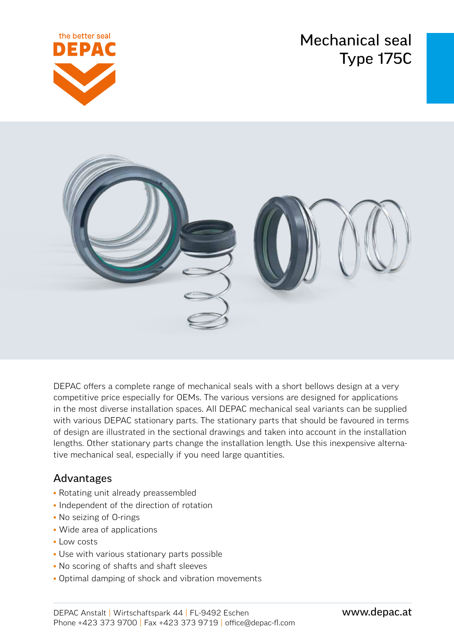Mechanical seal Type 175C





DEPAC offers a complete range of mechanical seals with a short bellows design at a very competitive price especially for OEMs. The various versions are designed for applications in the most diverse installation spaces. All DEPAC mechanical seal variants can be supplied with various DEPAC stationary parts. The stationary parts that should be favoured in terms of design are illustrated in the sectional drawings and taken into account in the installation lengths. Other stationary parts change the installation length. Use this inexpensive alternative mechanical seal, especially if you need large quantities.

## Advantages

- Rotating unit already preassembled
- Independent of the direction of rotation
- No seizing of O-rings
- Wide area of applications
- Low costs
- Use with various stationary parts possible
- No scoring of shafts and shaft sleeves
- Optimal damping of shock and vibration movements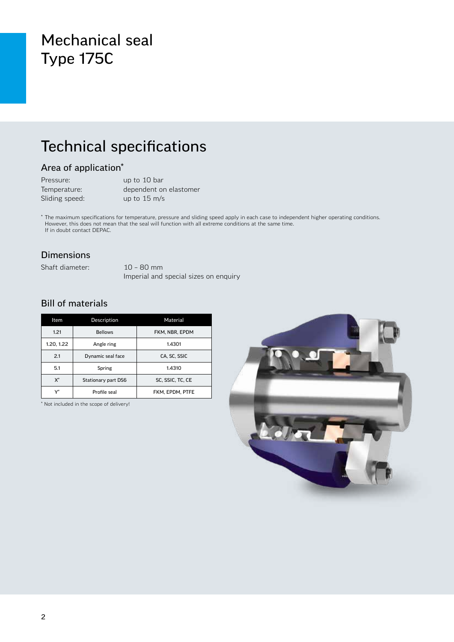# Mechanical seal Type 175C

# Technical specifications

### Area of application\*

| Pressure:      | up to 10 bar           |
|----------------|------------------------|
| Temperature:   | dependent on elastomer |
| Sliding speed: | up to $15 \text{ m/s}$ |

\* The maximum specifications for temperature, pressure and sliding speed apply in each case to independent higher operating conditions. However, this does not mean that the seal will function with all extreme conditions at the same time. If in doubt contact DEPAC.

#### Dimensions

Shaft diameter: 10 – 80 mm

Imperial and special sizes on enquiry

### Bill of materials

| Item       | Description         | Material         |  |  |
|------------|---------------------|------------------|--|--|
| 1.21       | <b>Bellows</b>      | FKM, NBR, EPDM   |  |  |
| 1.20, 1.22 | Angle ring          | 1.4301           |  |  |
| 2.1        | Dynamic seal face   | CA, SC, SSIC     |  |  |
| 5.1        | Spring              | 1.4310           |  |  |
| X*         | Stationary part DS6 | SC, SSIC, TC, CE |  |  |
| ۱ŕ         | Profile seal        | FKM. EPDM. PTFE  |  |  |

\* Not included in the scope of delivery!